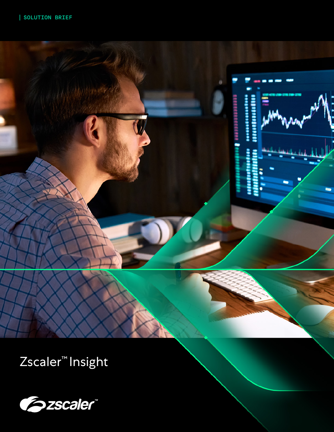

Zscaler™ Insight

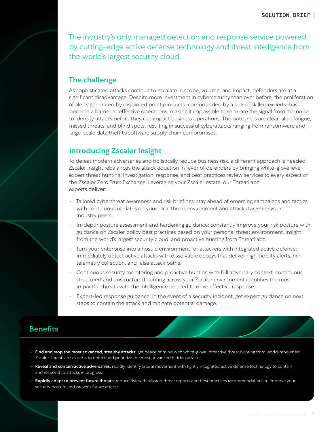The industry's only managed detection and response service powered by cutting-edge active defense technology and threat intelligence from the world's largest security cloud.

# The challenge

As sophisticated attacks continue to escalate in scope, volume, and impact, defenders are at a significant disadvantage. Despite more investment in cybersecurity than ever before, the proliferation of alerts generated by disjointed point products–compounded by a lack of skilled experts–has become a barrier to effective operations, making it impossible to separate the signal from the noise to identify attacks before they can impact business operations. The outcomes are clear: alert fatigue, missed threats, and blind spots, resulting in successful cyberattacks ranging from ransomware and large-scale data theft to software supply chain compromises.

# Introducing Zscaler Insight

To defeat modern adversaries and holistically reduce business risk, a different approach is needed. Zscaler Insight rebalances the attack equation in favor of defenders by bringing white-glove level expert threat hunting, investigation, response, and best practices review services to every aspect of the Zscaler Zero Trust Exchange. Leveraging your Zscaler estate, our ThreatLabz experts deliver:

- Tailored cyberthreat awareness and risk briefings: stay ahead of emerging campaigns and tactics with continuous updates on your local threat environment and attacks targeting your industry peers.
- In-depth posture assessment and hardening guidance: constantly improve your risk posture with guidance on Zscaler policy best practices based on your personal threat environment, insight from the world's largest security cloud, and proactive hunting from ThreatLabz.
- Turn your enterprise into a hostile environment for attackers with integrated active defense: immediately detect active attacks with dissolvable decoys that deliver high-fidelity alerts, rich telemetry collection, and false attack paths.
- Continuous security monitoring and proactive hunting with full adversary context: continuous structured and unstructured hunting across your Zscaler environment identifies the most impactful threats with the intelligence needed to drive effective response.
- Expert-led response guidance: in the event of a security incident, get expert guidance on next steps to contain the attack and mitigate potential damage.

# **Benefits**

- Find and stop the most advanced, stealthy attacks: get peace of mind with white-glove, proactive threat hunting from world-renowned Zscaler ThreatLabz experts to detect and prioritize the most advanced hidden attacks.
- Reveal and contain active adversaries: rapidly identify lateral movement with tightly integrated active defense technology to contain and respond to attacks in progress.
- Rapidly adapt to prevent future threats: reduce risk with tailored threat reports and best practices recommendations to improve your security posture and prevent future attacks.